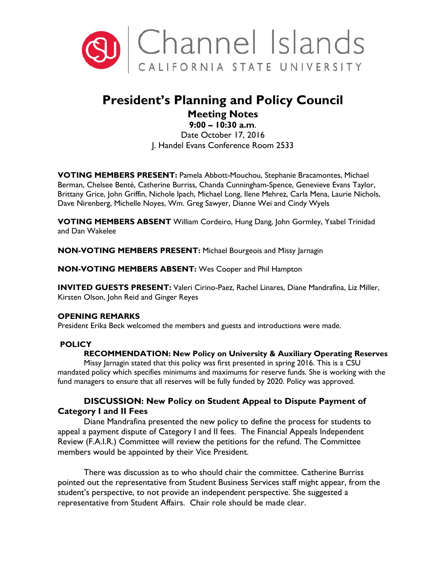

# **President's Planning and Policy Council**

# **Meeting Notes**

**9:00 – 10:30 a.m**. Date October 17, 2016 J. Handel Evans Conference Room 2533

**VOTING MEMBERS PRESENT:** Pamela Abbott-Mouchou, Stephanie Bracamontes, Michael Berman, Chelsee Benté, Catherine Burriss, Chanda Cunningham-Spence, Genevieve Evans Taylor, Brittany Grice, John Griffin, Nichole Ipach, Michael Long, Ilene Mehrez, Carla Mena, Laurie Nichols, Dave Nirenberg, Michelle Noyes, Wm. Greg Sawyer, Dianne Wei and Cindy Wyels

**VOTING MEMBERS ABSENT** William Cordeiro, Hung Dang, John Gormley, Ysabel Trinidad and Dan Wakelee

**NON-VOTING MEMBERS PRESENT:** Michael Bourgeois and Missy Jarnagin

**NON-VOTING MEMBERS ABSENT:** Wes Cooper and Phil Hampton

**INVITED GUESTS PRESENT:** Valeri Cirino-Paez, Rachel Linares, Diane Mandrafina, Liz Miller, Kirsten Olson, John Reid and Ginger Reyes

# **OPENING REMARKS**

President Erika Beck welcomed the members and guests and introductions were made.

# **POLICY**

# **RECOMMENDATION: New Policy on University & Auxiliary Operating Reserves**

Missy Jarnagin stated that this policy was first presented in spring 2016. This is a CSU mandated policy which specifies minimums and maximums for reserve funds. She is working with the fund managers to ensure that all reserves will be fully funded by 2020. Policy was approved.

# **DISCUSSION: New Policy on Student Appeal to Dispute Payment of Category I and II Fees**

Diane Mandrafina presented the new policy to define the process for students to appeal a payment dispute of Category I and II fees. The Financial Appeals Independent Review (F.A.I.R.) Committee will review the petitions for the refund. The Committee members would be appointed by their Vice President.

There was discussion as to who should chair the committee. Catherine Burriss pointed out the representative from Student Business Services staff might appear, from the student's perspective, to not provide an independent perspective. She suggested a representative from Student Affairs. Chair role should be made clear.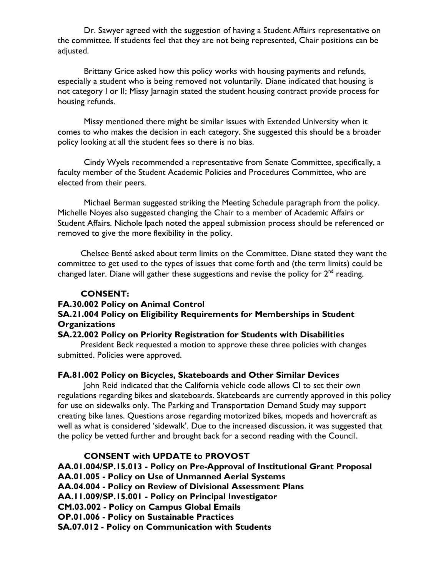Dr. Sawyer agreed with the suggestion of having a Student Affairs representative on the committee. If students feel that they are not being represented, Chair positions can be adjusted.

Brittany Grice asked how this policy works with housing payments and refunds, especially a student who is being removed not voluntarily. Diane indicated that housing is not category I or II; Missy Jarnagin stated the student housing contract provide process for housing refunds.

Missy mentioned there might be similar issues with Extended University when it comes to who makes the decision in each category. She suggested this should be a broader policy looking at all the student fees so there is no bias.

Cindy Wyels recommended a representative from Senate Committee, specifically, a faculty member of the Student Academic Policies and Procedures Committee, who are elected from their peers.

Michael Berman suggested striking the Meeting Schedule paragraph from the policy. Michelle Noyes also suggested changing the Chair to a member of Academic Affairs or Student Affairs. Nichole Ipach noted the appeal submission process should be referenced or removed to give the more flexibility in the policy.

Chelsee Benté asked about term limits on the Committee. Diane stated they want the committee to get used to the types of issues that come forth and (the term limits) could be changed later. Diane will gather these suggestions and revise the policy for  $2<sup>nd</sup>$  reading.

# **CONSENT:**

#### **FA.30.002 Policy on Animal Control**

# **SA.21.004 Policy on Eligibility Requirements for Memberships in Student Organizations**

# **SA.22.002 Policy on Priority Registration for Students with Disabilities**

President Beck requested a motion to approve these three policies with changes submitted. Policies were approved.

# **FA.81.002 Policy on Bicycles, Skateboards and Other Similar Devices**

John Reid indicated that the California vehicle code allows CI to set their own regulations regarding bikes and skateboards. Skateboards are currently approved in this policy for use on sidewalks only. The Parking and Transportation Demand Study may support creating bike lanes. Questions arose regarding motorized bikes, mopeds and hovercraft as well as what is considered 'sidewalk'. Due to the increased discussion, it was suggested that the policy be vetted further and brought back for a second reading with the Council.

# **CONSENT with UPDATE to PROVOST**

**AA.01.004/SP.15.013 - Policy on Pre-Approval of Institutional Grant Proposal AA.01.005 - Policy on Use of Unmanned Aerial Systems AA.04.004 - Policy on Review of Divisional Assessment Plans AA.11.009/SP.15.001 - Policy on Principal Investigator CM.03.002 - Policy on Campus Global Emails OP.01.006 - Policy on Sustainable Practices SA.07.012 - Policy on Communication with Students**